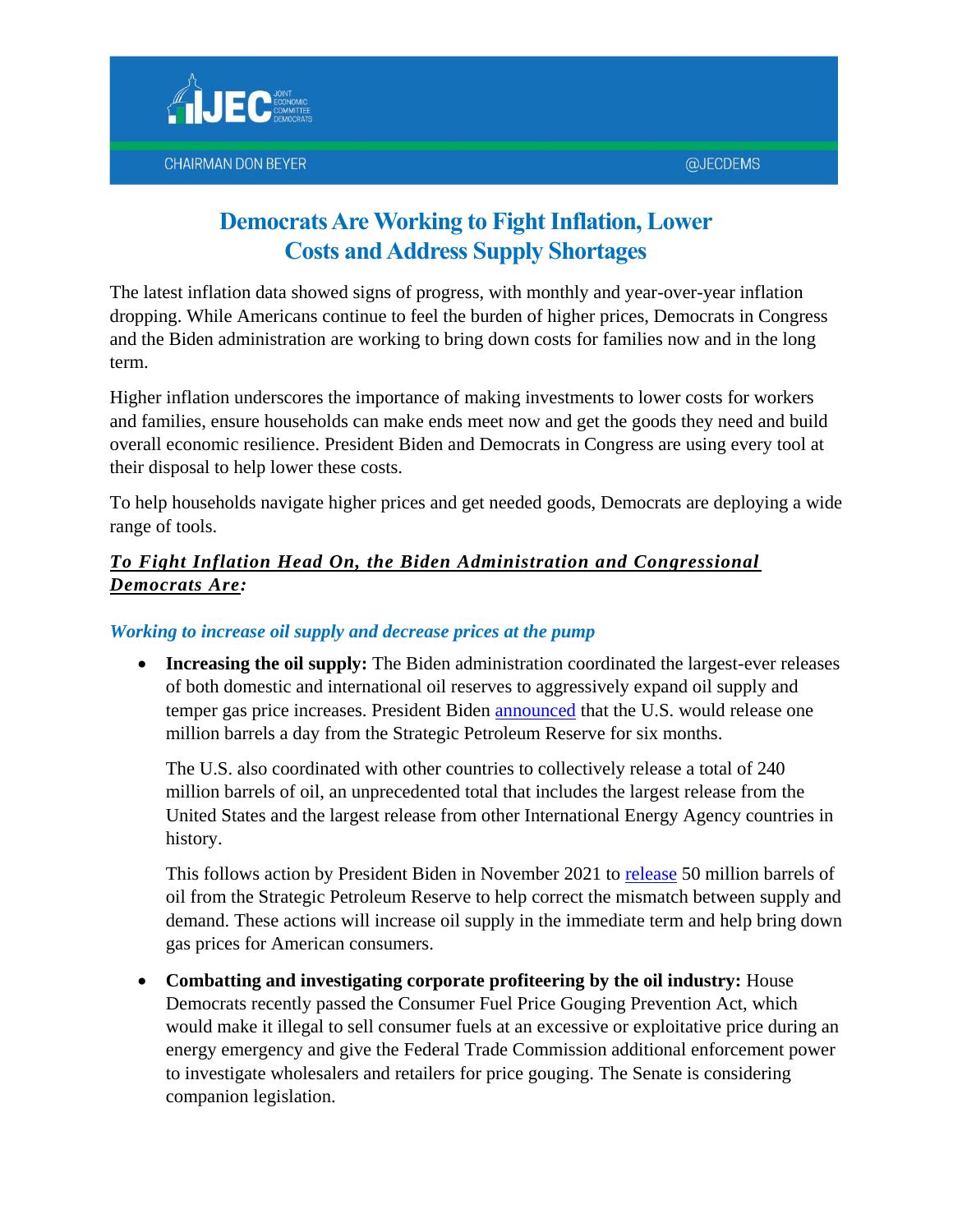

# **Democrats Are Working to Fight Inflation, Lower Costs and Address Supply Shortages**

The latest inflation data showed signs of progress, with monthly and year-over-year inflation dropping. While Americans continue to feel the burden of higher prices, Democrats in Congress and the Biden administration are working to bring down costs for families now and in the long term.

Higher inflation underscores the importance of making investments to lower costs for workers and families, ensure households can make ends meet now and get the goods they need and build overall economic resilience. President Biden and Democrats in Congress are using every tool at their disposal to help lower these costs.

To help households navigate higher prices and get needed goods, Democrats are deploying a wide range of tools.

#### *To Fight Inflation Head On, the Biden Administration and Congressional Democrats Are:*

#### *Working to increase oil supply and decrease prices at the pump*

• Increasing the oil supply: The Biden administration coordinated the largest-ever releases of both domestic and international oil reserves to aggressively expand oil supply and temper gas price increases. President Biden [announced](https://www.whitehouse.gov/briefing-room/statements-releases/2022/04/07/statement-by-press-secretary-jen-psaki-on-unprecedented-iea-release-following-president-bidens-spr-announcement/) that the U.S. would release one million barrels a day from the Strategic Petroleum Reserve for six months.

The U.S. also coordinated with other countries to collectively release a total of 240 million barrels of oil, an unprecedented total that includes the largest release from the United States and the largest release from other International Energy Agency countries in history.

This follows action by President Biden in November 2021 to [release](https://www.whitehouse.gov/briefing-room/statements-releases/2021/11/23/president-biden-announces-release-from-the-strategic-petroleum-reserve-as-part-of-ongoing-efforts-to-lower-prices-and-address-lack-of-supply-around-the-world/) 50 million barrels of oil from the Strategic Petroleum Reserve to help correct the mismatch between supply and demand. These actions will increase oil supply in the immediate term and help bring down gas prices for American consumers.

 **Combatting and investigating corporate profiteering by the oil industry:** House Democrats recently passed the Consumer Fuel Price Gouging Prevention Act, which would make it illegal to sell consumer fuels at an excessive or exploitative price during an energy emergency and give the Federal Trade Commission additional enforcement power to investigate wholesalers and retailers for price gouging. The Senate is considering companion legislation.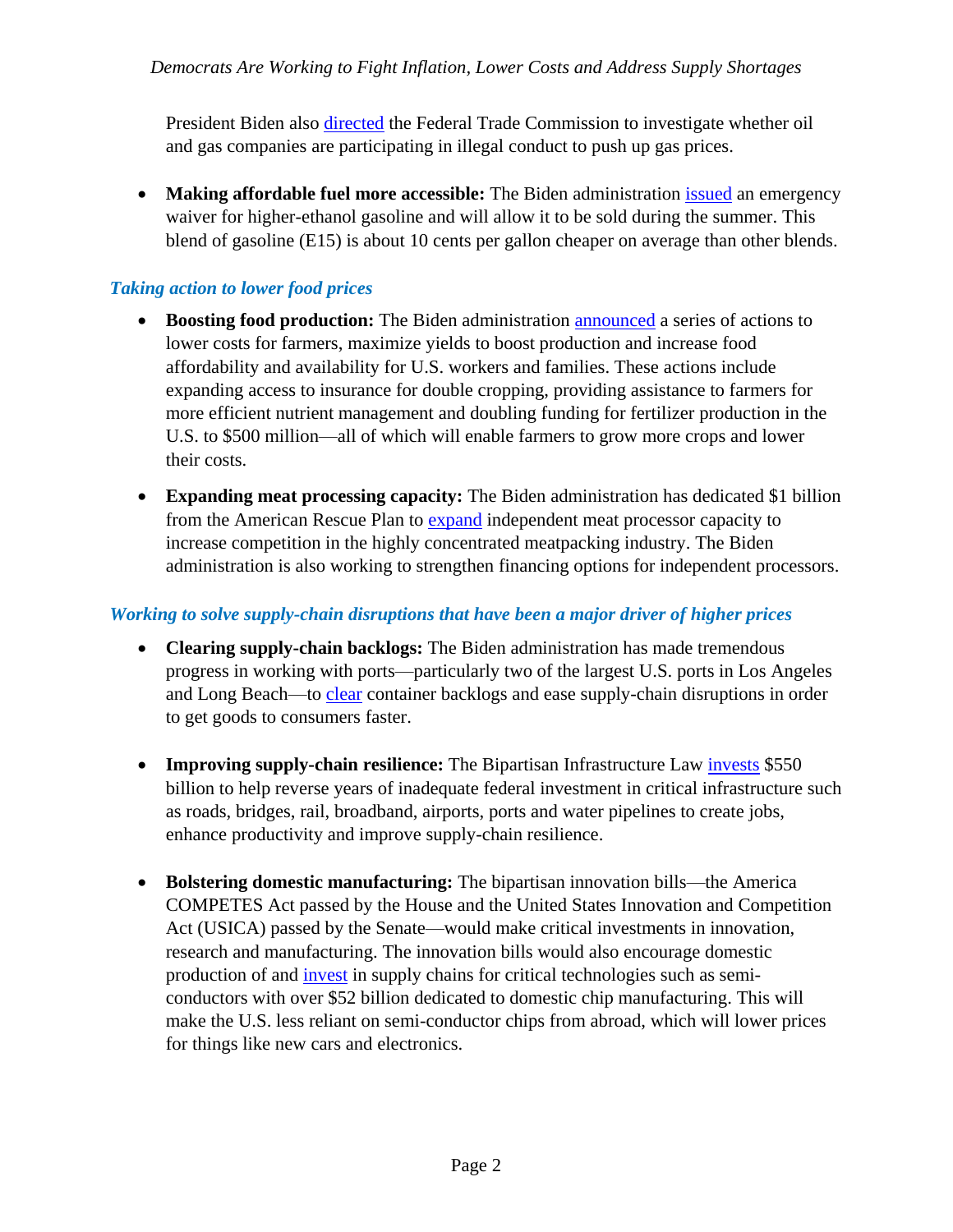President Biden also [directed](https://www.reuters.com/business/energy/biden-asks-ftc-redouble-probe-possible-illegal-conduct-by-oil-gas-companies-2021-11-17/) the Federal Trade Commission to investigate whether oil and gas companies are participating in illegal conduct to push up gas prices.

 **Making affordable fuel more accessible:** The Biden administration [issued](https://www.whitehouse.gov/briefing-room/statements-releases/2022/04/21/fact-sheet-biden-administration-responds-to-putins-price-hike-by-awarding-first-barrels-from-historic-strategic-petroleum-reserve-release-deploying-affordable-clean-energy/) an emergency waiver for higher-ethanol gasoline and will allow it to be sold during the summer. This blend of gasoline (E15) is about 10 cents per gallon cheaper on average than other blends.

#### *Taking action to lower food prices*

- **Boosting food production:** The Biden administration [announced](https://www.whitehouse.gov/briefing-room/statements-releases/2022/05/11/fact-sheet-president-biden-announces-new-actions-to-address-putins-price-hike-make-food-more-affordable-and-lower-costs-for-farmers/) a series of actions to lower costs for farmers, maximize yields to boost production and increase food affordability and availability for U.S. workers and families. These actions include expanding access to insurance for double cropping, providing assistance to farmers for more efficient nutrient management and doubling funding for fertilizer production in the U.S. to \$500 million—all of which will enable farmers to grow more crops and lower their costs.
- **Expanding meat processing capacity:** The Biden administration has dedicated \$1 billion from the American Rescue Plan to [expand](https://www.whitehouse.gov/briefing-room/statements-releases/2022/01/03/fact-sheet-the-biden-harris-action-plan-for-a-fairer-more-competitive-and-more-resilient-meat-and-poultry-supply-chain/) independent meat processor capacity to increase competition in the highly concentrated meatpacking industry. The Biden administration is also working to strengthen financing options for independent processors.

#### *Working to solve supply-chain disruptions that have been a major driver of higher prices*

- **Clearing supply-chain backlogs:** The Biden administration has made tremendous [progress](https://www.transportation.gov/briefing-room/usdot-supply-chain-tracker-shows-historic-levels-goods-coming-us-continued-challenges) in working with ports—particularly two of the largest U.S. ports in Los Angeles and Long Beach—to [clear](https://www.transportation.gov/briefing-room/usdot-supply-chain-tracker-shows-historic-levels-goods-coming-us-continued-challenges) container backlogs and ease supply-chain disruptions in order to get goods to consumers faster.
- **Improving supply-chain resilience:** The Bipartisan Infrastructure Law [invests](https://www.jec.senate.gov/public/_cache/files/d1342923-d8e8-4c82-b1ea-6818a9253e25/econ-benefits-of-bipartisan-infra-deal-fact-sheet.pdf) \$550 billion to help reverse years of inadequate federal investment in critical infrastructure such as roads, bridges, rail, broadband, airports, ports and water pipelines to create jobs, enhance productivity and improve supply-chain resilience.
- **Bolstering domestic manufacturing:** The bipartisan innovation bills—the America COMPETES Act passed by the House and the United States Innovation and Competition Act (USICA) passed by the Senate—would make critical investments in innovation, research and manufacturing. The innovation bills would also encourage domestic production of and [invest](https://www.jec.senate.gov/public/_cache/files/0ebd7455-4191-4448-8b89-b509ca751d5c/competes-act-fact-sheet-final-feb.pdf) in supply chains for critical technologies such as semiconductors with over \$52 billion dedicated to domestic chip manufacturing. This will make the U.S. less reliant on semi-conductor chips from abroad, which will lower prices for things like new cars and electronics.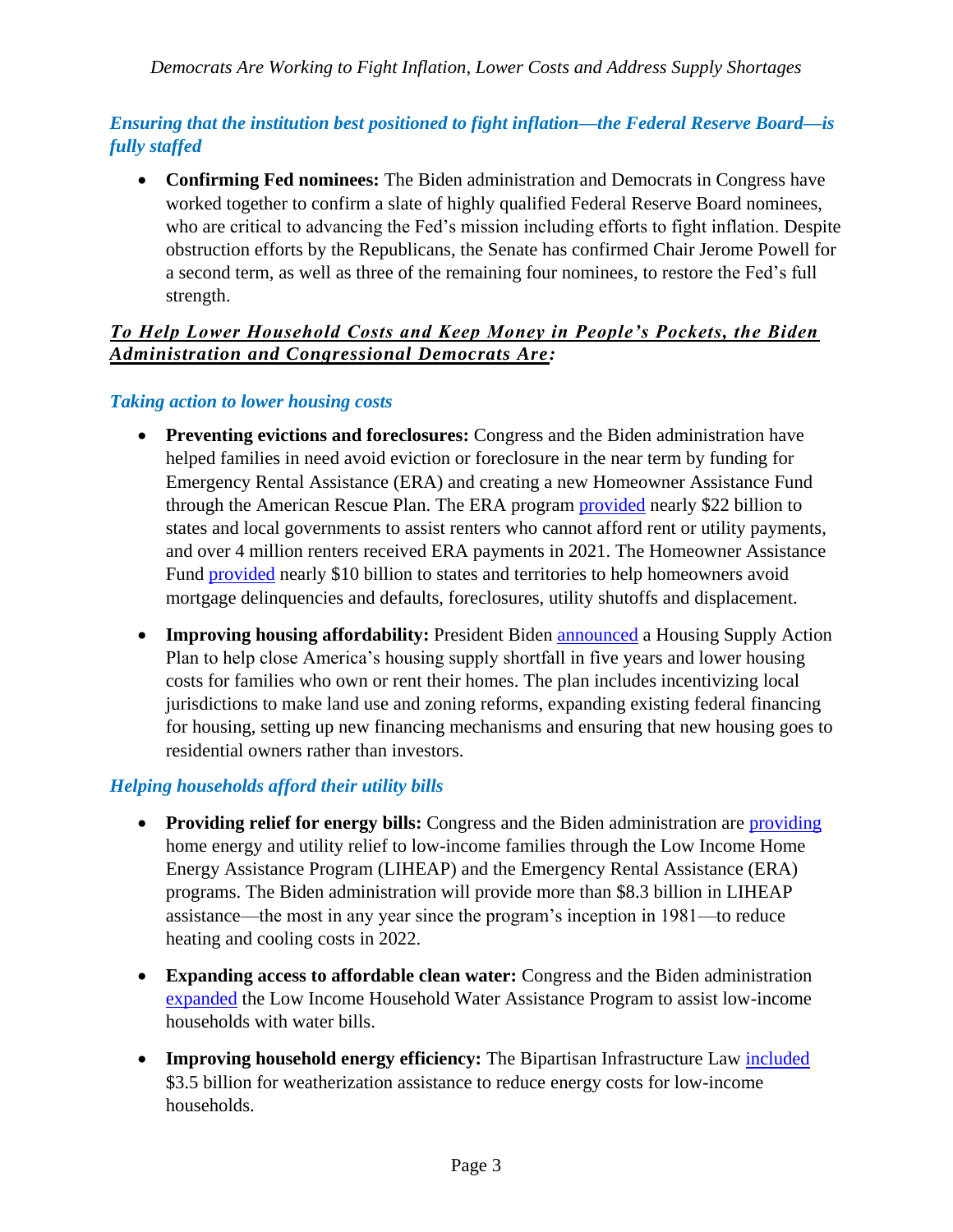*Democrats Are Working to Fight Inflation, Lower Costs and Address Supply Shortages*

# *Ensuring that the institution best positioned to fight inflation—the Federal Reserve Board—is fully staffed*

 **Confirming Fed nominees:** The Biden administration and Democrats in Congress have worked together to confirm a slate of highly qualified Federal Reserve Board nominees, who are critical to advancing the Fed's mission including efforts to fight inflation. Despite obstruction efforts by the Republicans, the Senate has confirmed Chair Jerome Powell for a second term, as well as three of the remaining four nominees, to restore the Fed's full strength.

#### *To Help Lower Household Costs and Keep Money in People's Pockets, the Biden Administration and Congressional Democrats Are :*

#### *Taking action to lower housing costs*

- **Preventing evictions and foreclosures:** Congress and the Biden administration have helped families in need avoid eviction or foreclosure in the near term by funding for Emergency Rental Assistance (ERA) and creating a new Homeowner Assistance Fund through the American Rescue Plan. The ERA program **provided** nearly \$22 billion to states and local governments to assist renters who cannot afford rent or utility payments, and over 4 million renters received ERA payments in 2021. The Homeowner Assistance Fund [provided](https://home.treasury.gov/policy-issues/coronavirus/assistance-for-state-local-and-tribal-governments/homeowner-assistance-fund) nearly \$10 billion to states and territories to help homeowners avoid mortgage delinquencies and defaults, foreclosures, utility shutoffs and displacement.
- **Improving housing affordability:** President Biden [announced](https://www.whitehouse.gov/briefing-room/statements-releases/2022/05/16/president-biden-announces-new-actions-to-ease-the-burden-of-housing-costs/) a Housing Supply Action Plan to help close America's housing supply shortfall in five years and lower housing costs for families who own or rent their homes. The plan includes incentivizing local jurisdictions to make land use and zoning reforms, expanding existing federal financing for housing, setting up new financing mechanisms and ensuring that new housing goes to residential owners rather than investors.

#### *Helping households afford their utility bills*

- Providing relief for energy bills: Congress and the Biden administration are [providing](https://www.whitehouse.gov/briefing-room/statements-releases/2022/04/21/fact-sheet-white-house-announces-additional-385-million-to-lower-home-energy-bills-for-american-families/) home energy and utility relief to low-income families through the Low Income Home Energy Assistance Program (LIHEAP) and the Emergency Rental Assistance (ERA) programs. The Biden administration will provide more than \$8.3 billion in LIHEAP assistance—the most in any year since the program's inception in 1981—to reduce heating and cooling costs in 2022.
- **Expanding access to affordable clean water:** Congress and the Biden administration [expanded](https://www.acf.hhs.gov/ocs/programs/lihwap) the Low Income Household Water Assistance Program to assist low-income households with water bills.
- Improving household energy efficiency: The Bipartisan Infrastructure Law **included** \$3.5 billion for weatherization assistance to reduce energy costs for low-income households.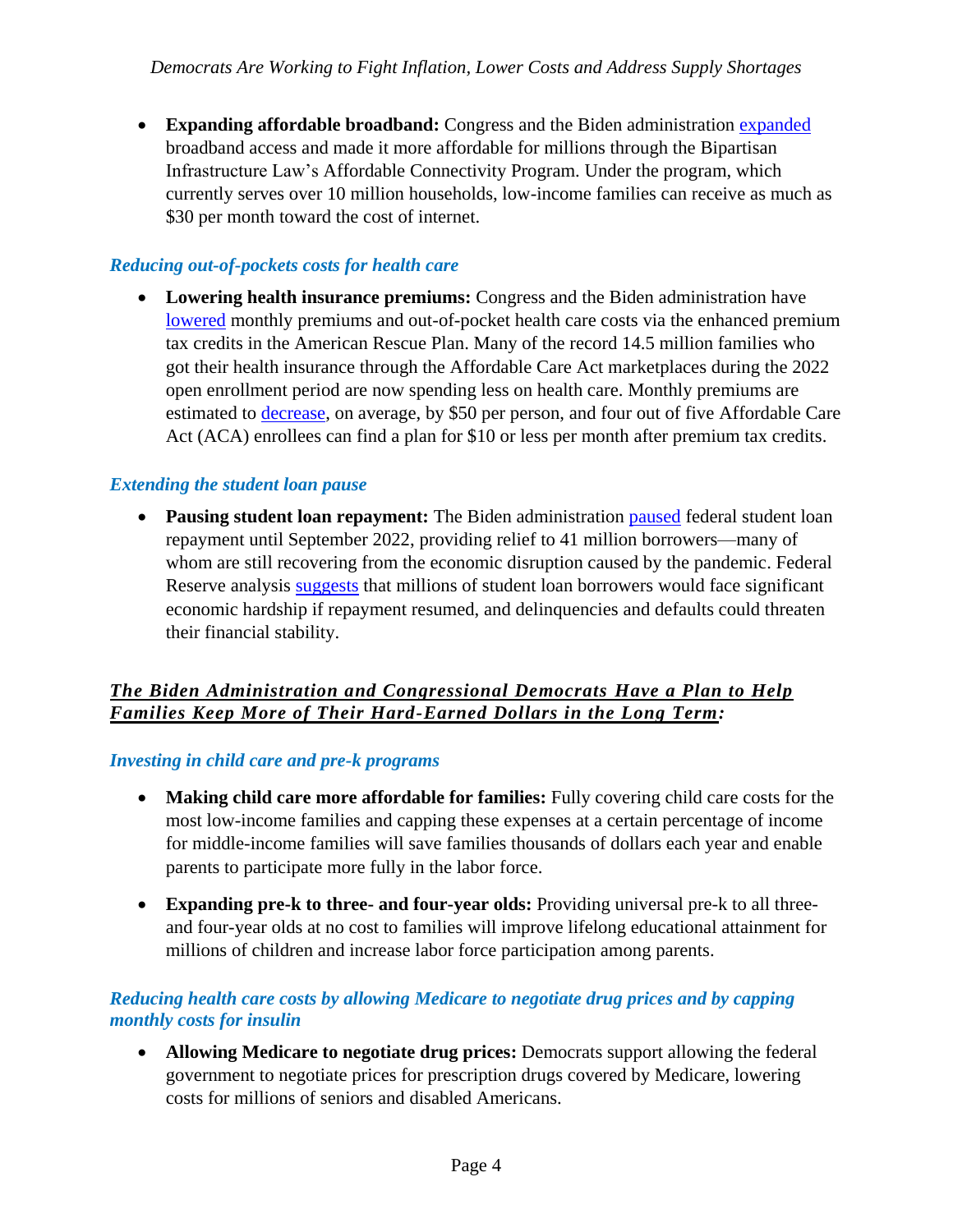**Expanding affordable broadband:** Congress and the Biden administration [expanded](https://www.whitehouse.gov/briefing-room/statements-releases/2022/02/14/fact-sheet-biden-harris-administration-announces-10-million-households-enroll-in-broadband-affordability-program-thanks-to-bipartisan-infrastructure-law/) broadband access and made it more affordable for millions through the Bipartisan Infrastructure Law's Affordable Connectivity Program. Under the program, which currently serves over 10 million households, low-income families can receive as much as \$30 per month toward the cost of internet.

# *Reducing out-of-pockets costs for health care*

• Lowering health insurance premiums: Congress and the Biden administration have [lowered](https://www.whitehouse.gov/briefing-room/statements-releases/2022/03/10/during-week-of-anniversary-of-american-rescue-plan-biden-harris-administration-highlights-health-insurance-subsidies-that-promoted-critical-increases-in-enrollment-and-cost-savings/) monthly premiums and out-of-pocket health care costs via the enhanced premium tax credits in the American Rescue Plan. Many of the record 14.5 million families who got their health insurance through the Affordable Care Act marketplaces during the 2022 open enrollment period are now spending less on health care. Monthly premiums are estimated to [decrease,](https://www.hhs.gov/about/news/2021/03/12/fact-sheet-american-rescue-plan-reduces-health-care-costs-expands-access-insurance-coverage.html) on average, by \$50 per person, and four out of five Affordable Care Act (ACA) enrollees can find a plan for \$10 or less per month after premium tax credits.

#### *Extending the student loan pause*

• Pausing student loan repayment: The Biden administration [paused](https://www.ed.gov/news/press-releases/biden-harris-administration-extends-student-loan-pause-through-august-31#:~:text=Biden%2DHarris%20Administration%20Extends%20Student%20Loan%20Pause%20Through%20August%2031,-April%206%2C%202022&text=Today%2C%20the%20U.S.%20Department%20of,collections%20through%20August%2031%2C%202022.) federal student loan repayment until September 2022, providing relief to 41 million borrowers—many of whom are still recovering from the economic disruption caused by the pandemic. Federal Reserve analysis [suggests](https://libertystreeteconomics.newyorkfed.org/2022/03/student-loan-repayment-during-the-pandemic-forbearance/) that millions of student loan borrowers would face significant economic hardship if repayment resumed, and delinquencies and defaults could threaten their financial stability.

# *The Biden Administration and Congressional Democrats Have a Plan to Help Families Keep More of Their Hard-Earned Dollars in the Long Term:*

#### *Investing in child care and pre-k programs*

- **Making child care more affordable for families:** Fully covering child care costs for the most low-income families and capping these expenses at a certain percentage of income for middle-income families will save families thousands of dollars each year and enable parents to participate more fully in the labor force.
- **Expanding pre-k to three- and four-year olds:** Providing universal pre-k to all threeand four-year olds at no cost to families will improve lifelong educational attainment for millions of children and increase labor force participation among parents.

#### *Reducing health care costs by allowing Medicare to negotiate drug prices and by capping monthly costs for insulin*

 **Allowing Medicare to negotiate drug prices:** Democrats support allowing the federal government to negotiate prices for prescription drugs covered by Medicare, lowering costs for millions of seniors and disabled Americans.